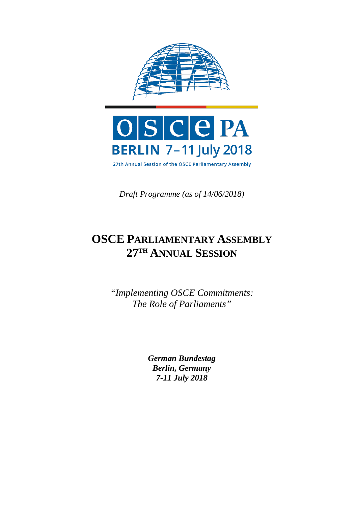

*Draft Programme (as of 14/06/2018)*

# **OSCE PARLIAMENTARY ASSEMBLY 27TH ANNUAL SESSION**

*"Implementing OSCE Commitments: The Role of Parliaments"*

> *German Bundestag Berlin, Germany 7-11 July 2018*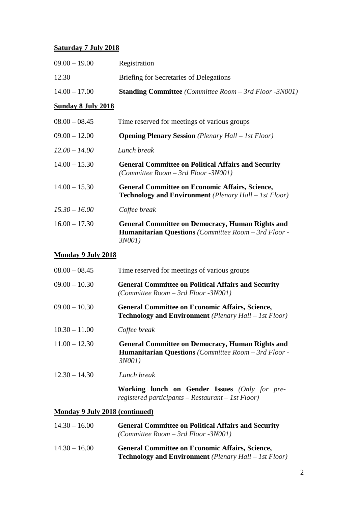### **Saturday 7 July 2018**

| $14.00 - 17.00$ | <b>Standing Committee</b> (Committee Room – 3rd Floor -3N001) |
|-----------------|---------------------------------------------------------------|
| 12.30           | Briefing for Secretaries of Delegations                       |
| $09.00 - 19.00$ | Registration                                                  |

### **Sunday 8 July 2018**

| $08.00 - 08.45$ | Time reserved for meetings of various groups                                                                                        |
|-----------------|-------------------------------------------------------------------------------------------------------------------------------------|
| $09.00 - 12.00$ | <b>Opening Plenary Session</b> (Plenary Hall – 1st Floor)                                                                           |
| $12.00 - 14.00$ | Lunch break                                                                                                                         |
| $14.00 - 15.30$ | <b>General Committee on Political Affairs and Security</b><br>(Committee Room $-$ 3rd Floor $-3N001$ )                              |
| $14.00 - 15.30$ | <b>General Committee on Economic Affairs, Science,</b><br><b>Technology and Environment</b> (Plenary Hall – 1st Floor)              |
| $15.30 - 16.00$ | Coffee break                                                                                                                        |
| $16.00 - 17.30$ | <b>General Committee on Democracy, Human Rights and</b><br><b>Humanitarian Questions</b> (Committee Room – 3rd Floor -<br>$3N001$ ) |

### **Monday 9 July 2018**

| $08.00 - 08.45$                | Time reserved for meetings of various groups                                                                                        |
|--------------------------------|-------------------------------------------------------------------------------------------------------------------------------------|
| $09.00 - 10.30$                | <b>General Committee on Political Affairs and Security</b><br>(Committee Room $-$ 3rd Floor $-3N001$ )                              |
| $09.00 - 10.30$                | <b>General Committee on Economic Affairs, Science,</b><br><b>Technology and Environment</b> ( <i>Plenary Hall – 1st Floor</i> )     |
| $10.30 - 11.00$                | Coffee break                                                                                                                        |
| $11.00 - 12.30$                | <b>General Committee on Democracy, Human Rights and</b><br><b>Humanitarian Questions</b> (Committee Room – 3rd Floor -<br>$3N001$ ) |
| $12.30 - 14.30$                | Lunch break                                                                                                                         |
|                                | Working lunch on Gender Issues (Only for pre-<br>registered participants – Restaurant – 1st $Floor$                                 |
| Monday 9 July 2018 (continued) |                                                                                                                                     |

#### **Monday 9 July 2018 (continued)**

| $14.30 - 16.00$ | <b>General Committee on Political Affairs and Security</b><br>(Committee Room $-$ 3rd Floor $-3N001$ )                 |
|-----------------|------------------------------------------------------------------------------------------------------------------------|
| $14.30 - 16.00$ | <b>General Committee on Economic Affairs, Science,</b><br><b>Technology and Environment</b> (Plenary Hall – 1st Floor) |